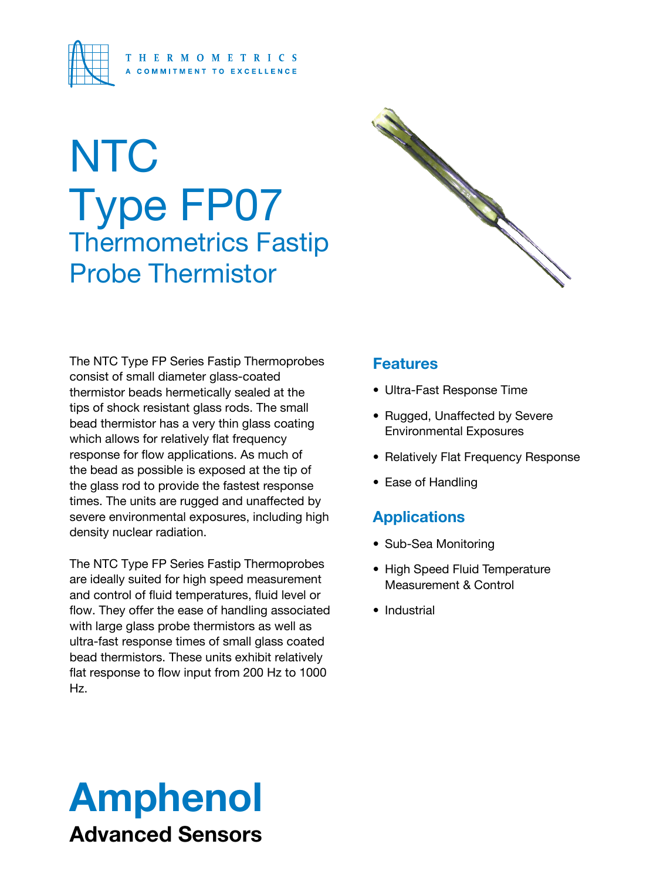

# **NTC** Type FP07 Thermometrics Fastip Probe Thermistor



The NTC Type FP Series Fastip Thermoprobes are ideally suited for high speed measurement and control of fluid temperatures, fluid level or flow. They offer the ease of handling associated with large glass probe thermistors as well as ultra-fast response times of small glass coated bead thermistors. These units exhibit relatively flat response to flow input from 200 Hz to 1000 Hz.

# 

### **Features**

- Ultra-Fast Response Time
- Rugged, Unaffected by Severe Environmental Exposures
- Relatively Flat Frequency Response
- Ease of Handling

## **Applications**

- Sub-Sea Monitoring
- High Speed Fluid Temperature Measurement & Control
- Industrial

# Amphenol Advanced Sensors